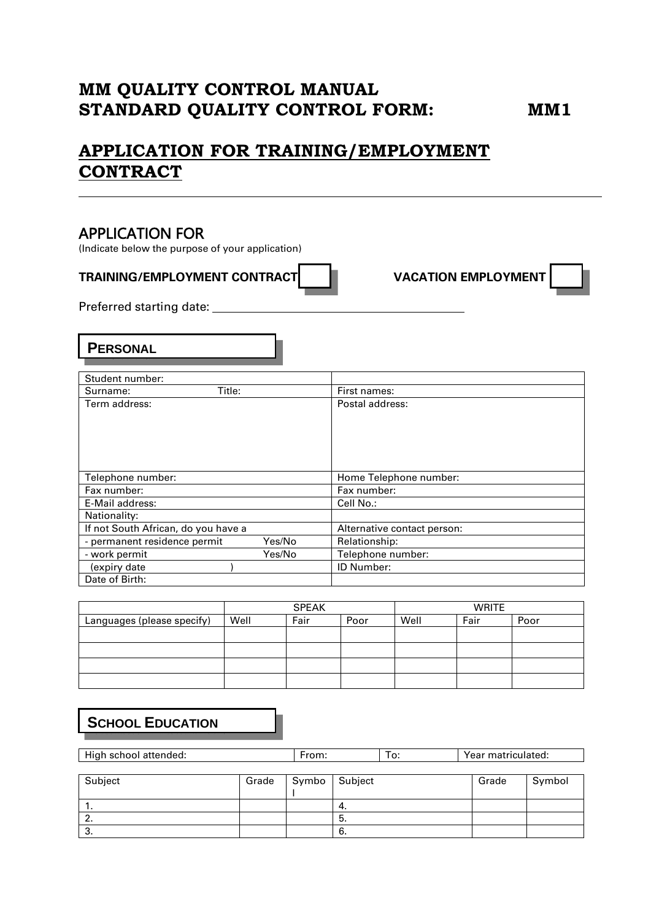# **MM QUALITY CONTROL MANUAL STANDARD QUALITY CONTROL FORM: MM1**

# **APPLICATION FOR TRAINING/EMPLOYMENT CONTRACT**

# APPLICATION FOR

(Indicate below the purpose of your application)

### **TRAINING/EMPLOYMENT CONTRACT VACATION EMPLOYMENT**

Preferred starting date:

**PERSONAL**

| Student number:                        |                             |
|----------------------------------------|-----------------------------|
| Title:<br>Surname:                     | First names:                |
| Term address:                          | Postal address:             |
| Telephone number:                      | Home Telephone number:      |
| Fax number:                            | Fax number:                 |
| E-Mail address:                        | Cell No.:                   |
| Nationality:                           |                             |
| If not South African, do you have a    | Alternative contact person: |
| - permanent residence permit<br>Yes/No | Relationship:               |
| - work permit<br>Yes/No                | Telephone number:           |
| (expiry date                           | ID Number:                  |
| Date of Birth:                         |                             |

|                            | <b>SPEAK</b> |      |      | <b>WRITE</b> |      |      |
|----------------------------|--------------|------|------|--------------|------|------|
| Languages (please specify) | Well         | Fair | Poor | Well         | Fair | Poor |
|                            |              |      |      |              |      |      |
|                            |              |      |      |              |      |      |
|                            |              |      |      |              |      |      |
|                            |              |      |      |              |      |      |

# **SCHOOL EDUCATION**

| High school attended: |       | From: |         | To: |       | Year matriculated: |
|-----------------------|-------|-------|---------|-----|-------|--------------------|
|                       |       |       |         |     |       |                    |
| Subject               | Grade | Symbo | Subject |     | Grade | Symbol             |
|                       |       |       |         |     |       |                    |
| . .                   |       |       | -4.     |     |       |                    |
| 2.                    |       |       | 5.      |     |       |                    |
| 3.                    |       |       | -6.     |     |       |                    |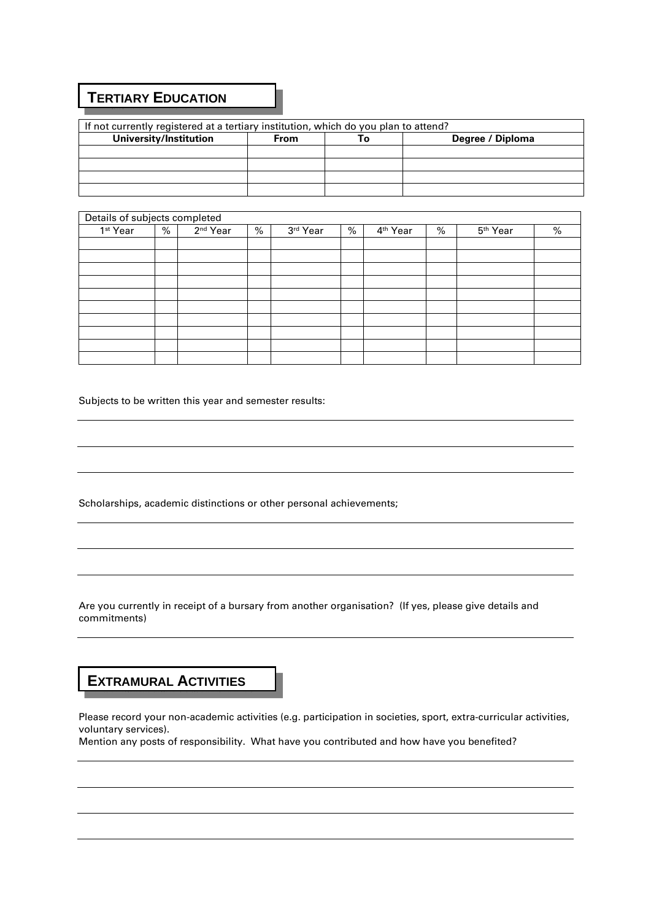### **TERTIARY EDUCATION**

| If not currently registered at a tertiary institution, which do you plan to attend? |             |    |                  |  |  |  |  |
|-------------------------------------------------------------------------------------|-------------|----|------------------|--|--|--|--|
| University/Institution                                                              | <b>From</b> | Гο | Degree / Diploma |  |  |  |  |
|                                                                                     |             |    |                  |  |  |  |  |
|                                                                                     |             |    |                  |  |  |  |  |
|                                                                                     |             |    |                  |  |  |  |  |
|                                                                                     |             |    |                  |  |  |  |  |

┓

#### Details of subjects completed

| Details of subjects completed |   |                      |   |          |   |                      |   |                      |   |
|-------------------------------|---|----------------------|---|----------|---|----------------------|---|----------------------|---|
| 1 <sup>st</sup> Year          | % | 2 <sup>nd</sup> Year | % | 3rd Year | % | 4 <sup>th</sup> Year | % | 5 <sup>th</sup> Year | % |
|                               |   |                      |   |          |   |                      |   |                      |   |
|                               |   |                      |   |          |   |                      |   |                      |   |
|                               |   |                      |   |          |   |                      |   |                      |   |
|                               |   |                      |   |          |   |                      |   |                      |   |
|                               |   |                      |   |          |   |                      |   |                      |   |
|                               |   |                      |   |          |   |                      |   |                      |   |
|                               |   |                      |   |          |   |                      |   |                      |   |
|                               |   |                      |   |          |   |                      |   |                      |   |
|                               |   |                      |   |          |   |                      |   |                      |   |
|                               |   |                      |   |          |   |                      |   |                      |   |

Subjects to be written this year and semester results:

Scholarships, academic distinctions or other personal achievements;

Are you currently in receipt of a bursary from another organisation? (If yes, please give details and commitments)

### **EXTRAMURAL ACTIVITIES**

Please record your non-academic activities (e.g. participation in societies, sport, extra-curricular activities, voluntary services).

Mention any posts of responsibility. What have you contributed and how have you benefited?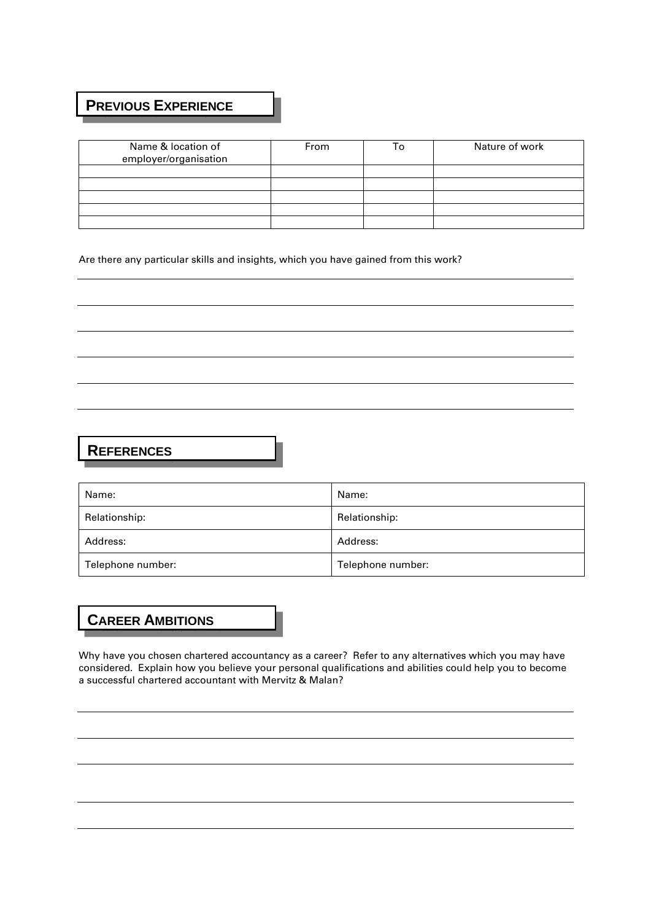# **PREVIOUS EXPERIENCE**

| Name & location of<br>employer/organisation | From | ۱o | Nature of work |
|---------------------------------------------|------|----|----------------|
|                                             |      |    |                |
|                                             |      |    |                |
|                                             |      |    |                |
|                                             |      |    |                |
|                                             |      |    |                |

Are there any particular skills and insights, which you have gained from this work?

# **REFERENCES**

| Name:             | Name:             |
|-------------------|-------------------|
| Relationship:     | Relationship:     |
| Address:          | Address:          |
| Telephone number: | Telephone number: |

# **CAREER AMBITIONS**

Why have you chosen chartered accountancy as a career? Refer to any alternatives which you may have considered. Explain how you believe your personal qualifications and abilities could help you to become a successful chartered accountant with Mervitz & Malan?